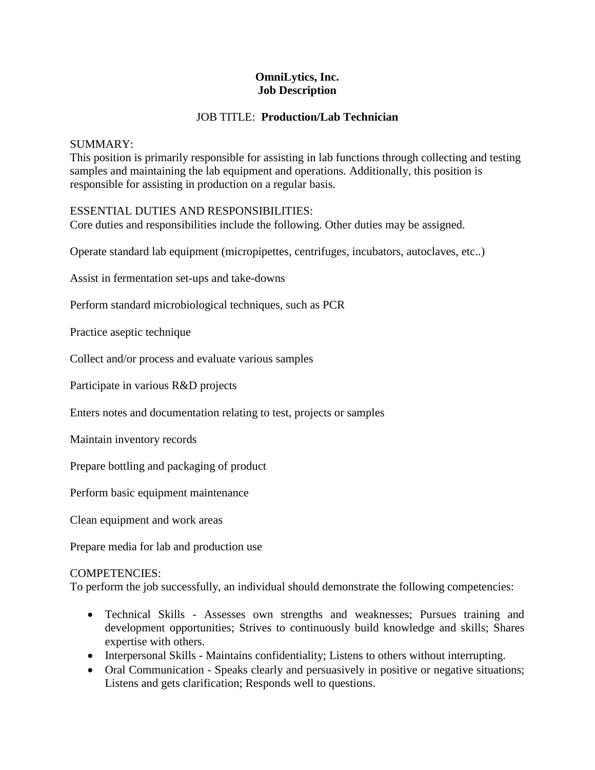# **OmniLytics, Inc. Job Description**

# JOB TITLE: **Production/Lab Technician**

## SUMMARY:

This position is primarily responsible for assisting in lab functions through collecting and testing samples and maintaining the lab equipment and operations. Additionally, this position is responsible for assisting in production on a regular basis.

# ESSENTIAL DUTIES AND RESPONSIBILITIES:

Core duties and responsibilities include the following. Other duties may be assigned.

Operate standard lab equipment (micropipettes, centrifuges, incubators, autoclaves, etc..)

Assist in fermentation set-ups and take-downs

Perform standard microbiological techniques, such as PCR

Practice aseptic technique

Collect and/or process and evaluate various samples

Participate in various R&D projects

Enters notes and documentation relating to test, projects or samples

Maintain inventory records

Prepare bottling and packaging of product

Perform basic equipment maintenance

Clean equipment and work areas

Prepare media for lab and production use

## COMPETENCIES:

To perform the job successfully, an individual should demonstrate the following competencies:

- Technical Skills Assesses own strengths and weaknesses; Pursues training and development opportunities; Strives to continuously build knowledge and skills; Shares expertise with others.
- Interpersonal Skills Maintains confidentiality; Listens to others without interrupting.
- Oral Communication Speaks clearly and persuasively in positive or negative situations; Listens and gets clarification; Responds well to questions.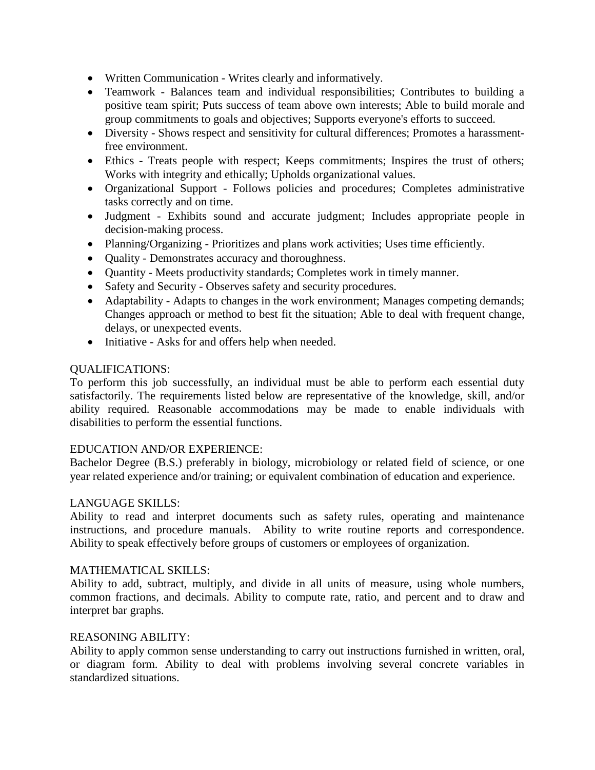- Written Communication Writes clearly and informatively.
- Teamwork Balances team and individual responsibilities; Contributes to building a positive team spirit; Puts success of team above own interests; Able to build morale and group commitments to goals and objectives; Supports everyone's efforts to succeed.
- Diversity Shows respect and sensitivity for cultural differences; Promotes a harassmentfree environment.
- Ethics Treats people with respect; Keeps commitments; Inspires the trust of others; Works with integrity and ethically; Upholds organizational values.
- Organizational Support Follows policies and procedures; Completes administrative tasks correctly and on time.
- Judgment Exhibits sound and accurate judgment; Includes appropriate people in decision-making process.
- Planning/Organizing Prioritizes and plans work activities; Uses time efficiently.
- Ouality Demonstrates accuracy and thoroughness.
- Quantity Meets productivity standards; Completes work in timely manner.
- Safety and Security Observes safety and security procedures.
- Adaptability Adapts to changes in the work environment; Manages competing demands; Changes approach or method to best fit the situation; Able to deal with frequent change, delays, or unexpected events.
- Initiative Asks for and offers help when needed.

## QUALIFICATIONS:

To perform this job successfully, an individual must be able to perform each essential duty satisfactorily. The requirements listed below are representative of the knowledge, skill, and/or ability required. Reasonable accommodations may be made to enable individuals with disabilities to perform the essential functions.

## EDUCATION AND/OR EXPERIENCE:

Bachelor Degree (B.S.) preferably in biology, microbiology or related field of science, or one year related experience and/or training; or equivalent combination of education and experience.

## LANGUAGE SKILLS:

Ability to read and interpret documents such as safety rules, operating and maintenance instructions, and procedure manuals. Ability to write routine reports and correspondence. Ability to speak effectively before groups of customers or employees of organization.

## MATHEMATICAL SKILLS:

Ability to add, subtract, multiply, and divide in all units of measure, using whole numbers, common fractions, and decimals. Ability to compute rate, ratio, and percent and to draw and interpret bar graphs.

## REASONING ABILITY:

Ability to apply common sense understanding to carry out instructions furnished in written, oral, or diagram form. Ability to deal with problems involving several concrete variables in standardized situations.